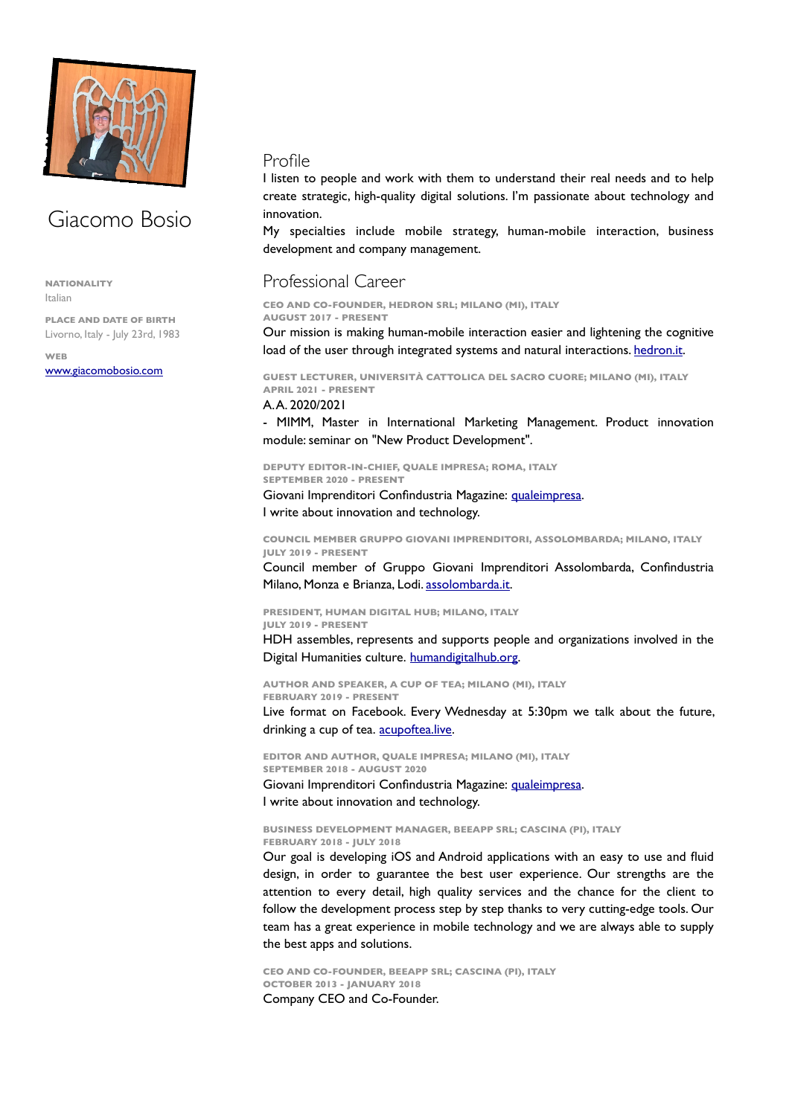

# Giacomo Bosio

**NATIONALITY**  Italian

**PLACE AND DATE OF BIRTH**  Livorno, Italy - July 23rd, 1983

**WEB**  [www.giacomobosio.com](http://www.giacomobosio.com)

## Profile

I listen to people and work with them to understand their real needs and to help create strategic, high-quality digital solutions. I'm passionate about technology and innovation.

My specialties include mobile strategy, human-mobile interaction, business development and company management.

## Professional Career

**CEO AND CO-FOUNDER, HEDRON SRL; MILANO (MI), ITALY AUGUST 2017 - PRESENT** 

Our mission is making human-mobile interaction easier and lightening the cognitive load of the user through integrated systems and natural interactions. [hedron.it.](http://hedron.it)

**GUEST LECTURER, UNIVERSITÀ CATTOLICA DEL SACRO CUORE; MILANO (MI), ITALY APRIL 2021 - PRESENT** 

### A. A. 2020/2021

- MIMM, Master in International Marketing Management. Product innovation module: seminar on "New Product Development".

**DEPUTY EDITOR-IN-CHIEF, QUALE IMPRESA; ROMA, ITALY SEPTEMBER 2020 - PRESENT** 

Giovani Imprenditori Confindustria Magazine: [qualeimpresa.](https://giovanimprenditori.org/social/quale-impresa) I write about innovation and technology.

**COUNCIL MEMBER GRUPPO GIOVANI IMPRENDITORI, ASSOLOMBARDA; MILANO, ITALY JULY 2019 - PRESENT** 

Council member of Gruppo Giovani Imprenditori Assolombarda, Confindustria Milano, Monza e Brianza, Lodi. [assolombarda.it](http://assolombarda.it).

**PRESIDENT, HUMAN DIGITAL HUB; MILANO, ITALY JULY 2019 - PRESENT** 

HDH assembles, represents and supports people and organizations involved in the Digital Humanities culture. humandigitalhub.org.

**AUTHOR AND SPEAKER, A CUP OF TEA; MILANO (MI), ITALY FEBRUARY 2019 - PRESENT** 

Live format on Facebook. Every Wednesday at 5:30pm we talk about the future, drinking a cup of tea. acupoftea.live.

**EDITOR AND AUTHOR, QUALE IMPRESA; MILANO (MI), ITALY SEPTEMBER 2018 - AUGUST 2020**  Giovani Imprenditori Confindustria Magazine: [qualeimpresa.](https://giovanimprenditori.org/social/quale-impresa)

I write about innovation and technology.

**BUSINESS DEVELOPMENT MANAGER, BEEAPP SRL; CASCINA (PI), ITALY**

**FEBRUARY 2018 - JULY 2018** 

Our goal is developing iOS and Android applications with an easy to use and fluid design, in order to guarantee the best user experience. Our strengths are the attention to every detail, high quality services and the chance for the client to follow the development process step by step thanks to very cutting-edge tools. Our team has a great experience in mobile technology and we are always able to supply the best apps and solutions.

**CEO AND CO-FOUNDER, BEEAPP SRL; CASCINA (PI), ITALY OCTOBER 2013 - JANUARY 2018**  Company CEO and Co-Founder.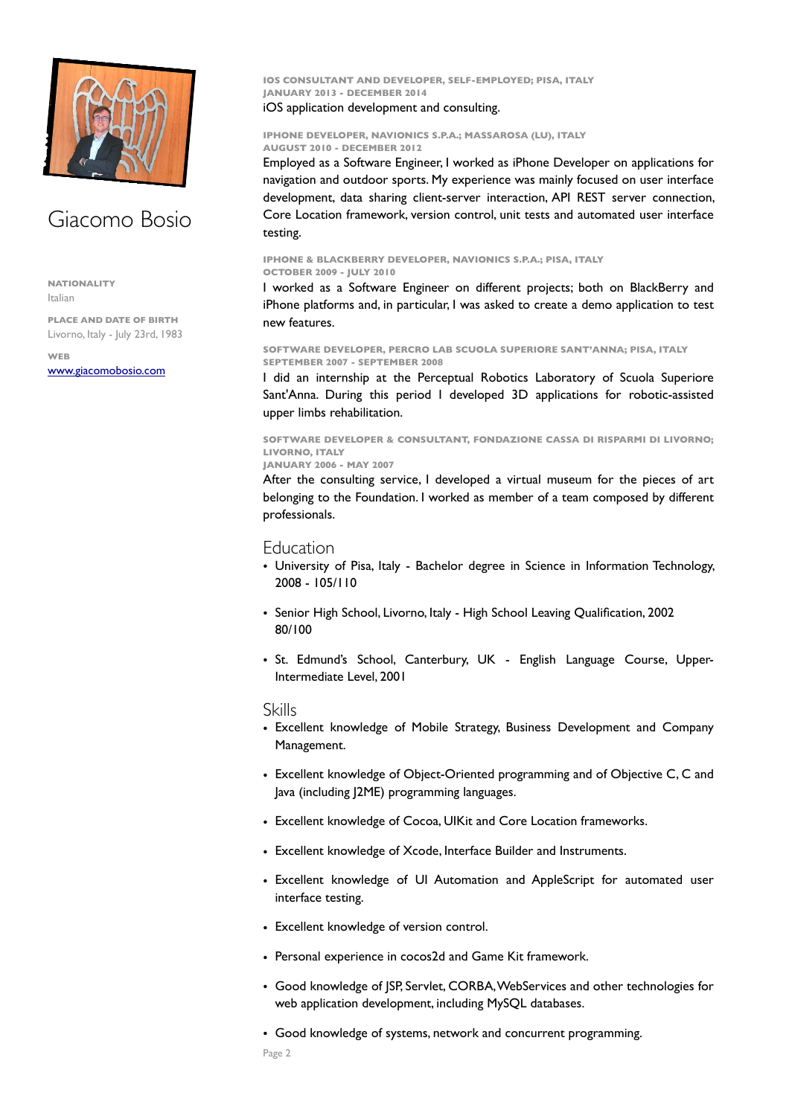

## Giacomo Bosio

**NATIONALITY**  Italian

**PLACE AND DATE OF BIRTH**  Livorno, Italy - July 23rd, 1983

**WEB**  [www.giacomobosio.com](http://www.giacomobosio.com) **IOS CONSULTANT AND DEVELOPER, SELF-EMPLOYED; PISA, ITALY JANUARY 2013 - DECEMBER 2014** 

## iOS application development and consulting.

#### **IPHONE DEVELOPER, NAVIONICS S.P.A.; MASSAROSA (LU), ITALY AUGUST 2010 - DECEMBER 2012**

Employed as a Software Engineer, I worked as iPhone Developer on applications for navigation and outdoor sports. My experience was mainly focused on user interface development, data sharing client-server interaction, API REST server connection, Core Location framework, version control, unit tests and automated user interface testing.

**IPHONE & BLACKBERRY DEVELOPER, NAVIONICS S.P.A.; PISA, ITALY OCTOBER 2009 - JULY 2010** 

I worked as a Software Engineer on different projects; both on BlackBerry and iPhone platforms and, in particular, I was asked to create a demo application to test new features.

**SOFTWARE DEVELOPER, PERCRO LAB SCUOLA SUPERIORE SANT'ANNA; PISA, ITALY SEPTEMBER 2007 - SEPTEMBER 2008** 

I did an internship at the Perceptual Robotics Laboratory of Scuola Superiore Sant'Anna. During this period I developed 3D applications for robotic-assisted upper limbs rehabilitation.

**SOFTWARE DEVELOPER & CONSULTANT, FONDAZIONE CASSA DI RISPARMI DI LIVORNO; LIVORNO, ITALY**

**JANUARY 2006 - MAY 2007** 

After the consulting service, I developed a virtual museum for the pieces of art belonging to the Foundation. I worked as member of a team composed by different professionals.

## **Education**

- University of Pisa, Italy Bachelor degree in Science in Information Technology, 2008 - 105/110
- Senior High School, Livorno, Italy High School Leaving Qualification, 2002 80/100
- St. Edmund's School, Canterbury, UK English Language Course, Upper-Intermediate Level, 2001

### Skills

- Excellent knowledge of Mobile Strategy, Business Development and Company Management.
- Excellent knowledge of Object-Oriented programming and of Objective C, C and Java (including J2ME) programming languages.
- Excellent knowledge of Cocoa, UIKit and Core Location frameworks.
- Excellent knowledge of Xcode, Interface Builder and Instruments.
- Excellent knowledge of UI Automation and AppleScript for automated user interface testing.
- Excellent knowledge of version control.
- Personal experience in cocos2d and Game Kit framework.
- Good knowledge of JSP, Servlet, CORBA, WebServices and other technologies for web application development, including MySQL databases.
- Good knowledge of systems, network and concurrent programming.